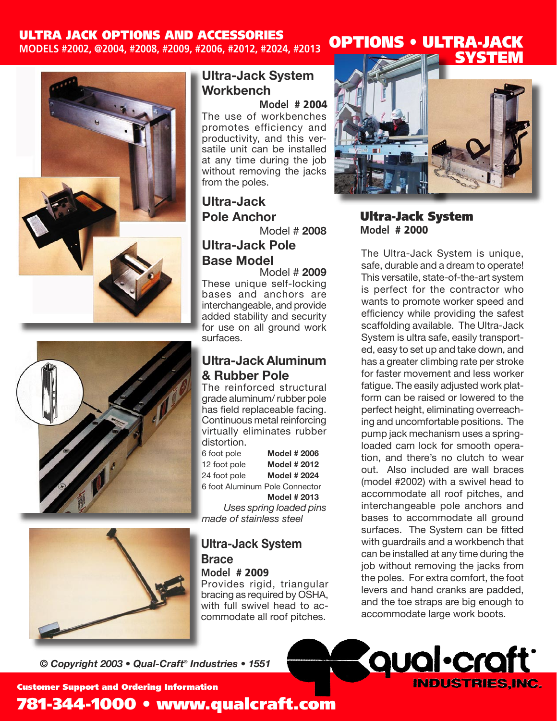## ULTRA JACK OPTIONS AND ACCESSORIES

**MODELS #2002, @2004, #2008, #2009, #2006, #2012, #2024, #2013** 







### **Ultra-Jack System Workbench**

**Model** # 2004 The use of workbenches promotes efficiency and productivity, and this versatile unit can be installed at any time during the job without removing the jacks from the poles.

## **Ultra-Jack Pole Anchor**

Model # **2008**

## **Ultra-Jack Pole Base Model**

Model # **2009** These unique self-locking bases and anchors are interchangeable, and provide added stability and security for use on all ground work surfaces.

### **Ultra-Jack Aluminum & Rubber Pole**

The reinforced structural grade aluminum/ rubber pole has field replaceable facing. Continuous metal reinforcing virtually eliminates rubber distortion.

6 foot pole **Model # 2006** 12 foot pole **Model # 2012** 24 foot pole **Model # 2024** 6 foot Aluminum Pole Connector **Model # 2013** *Uses spring loaded pins* 

*made of stainless steel*

# **Ultra-Jack System Brace**

**Model** # 2009

Provides rigid, triangular bracing as required by OSHA, with full swivel head to accommodate all roof pitches.

*© Copyright 2003 • Qual-Craft® Industries • 1551* 



OPTIONS • ULTRA-JACK

#### Ultra-Jack System **Model** # 2000

The Ultra-Jack System is unique, safe, durable and a dream to operate! This versatile, state-of-the-art system is perfect for the contractor who wants to promote worker speed and efficiency while providing the safest scaffolding available. The Ultra-Jack System is ultra safe, easily transported, easy to set up and take down, and has a greater climbing rate per stroke for faster movement and less worker fatigue. The easily adjusted work platform can be raised or lowered to the perfect height, eliminating overreaching and uncomfortable positions. The pump jack mechanism uses a springloaded cam lock for smooth operation, and there's no clutch to wear out. Also included are wall braces (model #2002) with a swivel head to accommodate all roof pitches, and interchangeable pole anchors and bases to accommodate all ground surfaces. The System can be fitted with guardrails and a workbench that can be installed at any time during the job without removing the jacks from the poles. For extra comfort, the foot levers and hand cranks are padded, and the toe straps are big enough to accommodate large work boots.



Customer Support and Ordering Information

# 781-344-1000 • www.qualcraft.com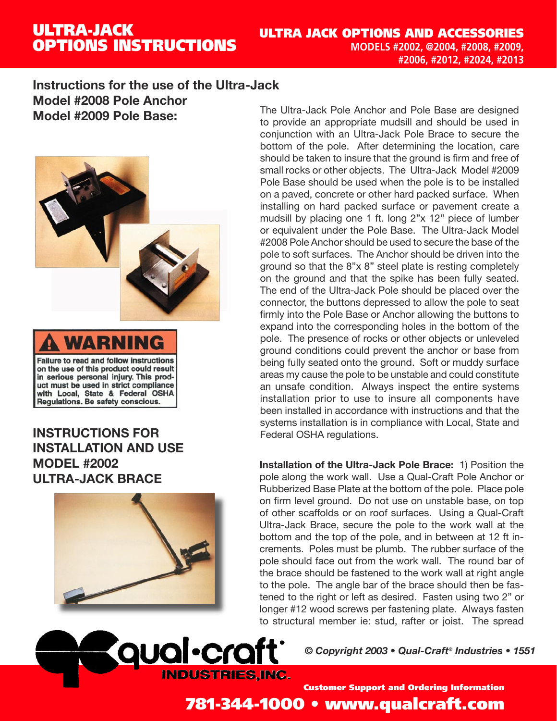# ULTRA-JACK OPTIONS INSTRUCTIONS

### **Instructions for the use of the Ultra-Jack Model #2008 Pole Anchor Model #2009 Pole Base:**





**INSTRUCTIONS FOR INSTALLATION AND USE MODEL #2002 ULTRA-JACK BRACE**



**qual**·craft

STRIES.INC.

The Ultra-Jack Pole Anchor and Pole Base are designed to provide an appropriate mudsill and should be used in conjunction with an Ultra-Jack Pole Brace to secure the bottom of the pole. After determining the location, care should be taken to insure that the ground is firm and free of small rocks or other objects. The Ultra-Jack Model #2009 Pole Base should be used when the pole is to be installed on a paved, concrete or other hard packed surface. When installing on hard packed surface or pavement create a mudsill by placing one 1 ft. long 2"x 12" piece of lumber or equivalent under the Pole Base. The Ultra-Jack Model #2008 Pole Anchor should be used to secure the base of the pole to soft surfaces. The Anchor should be driven into the ground so that the 8"x 8" steel plate is resting completely on the ground and that the spike has been fully seated. The end of the Ultra-Jack Pole should be placed over the connector, the buttons depressed to allow the pole to seat firmly into the Pole Base or Anchor allowing the buttons to expand into the corresponding holes in the bottom of the pole. The presence of rocks or other objects or unleveled ground conditions could prevent the anchor or base from being fully seated onto the ground. Soft or muddy surface areas my cause the pole to be unstable and could constitute an unsafe condition. Always inspect the entire systems installation prior to use to insure all components have been installed in accordance with instructions and that the systems installation is in compliance with Local, State and Federal OSHA regulations.

**Installation of the Ultra-Jack Pole Brace:** 1) Position the pole along the work wall. Use a Qual-Craft Pole Anchor or Rubberized Base Plate at the bottom of the pole. Place pole on firm level ground. Do not use on unstable base, on top of other scaffolds or on roof surfaces. Using a Qual-Craft Ultra-Jack Brace, secure the pole to the work wall at the bottom and the top of the pole, and in between at 12 ft increments. Poles must be plumb. The rubber surface of the pole should face out from the work wall. The round bar of the brace should be fastened to the work wall at right angle to the pole. The angle bar of the brace should then be fastened to the right or left as desired. Fasten using two 2" or longer #12 wood screws per fastening plate. Always fasten to structural member ie: stud, rafter or joist. The spread

*© Copyright 2003 • Qual-Craft® Industries • 1551* 



781-344-1000 • www.qualcraft.com